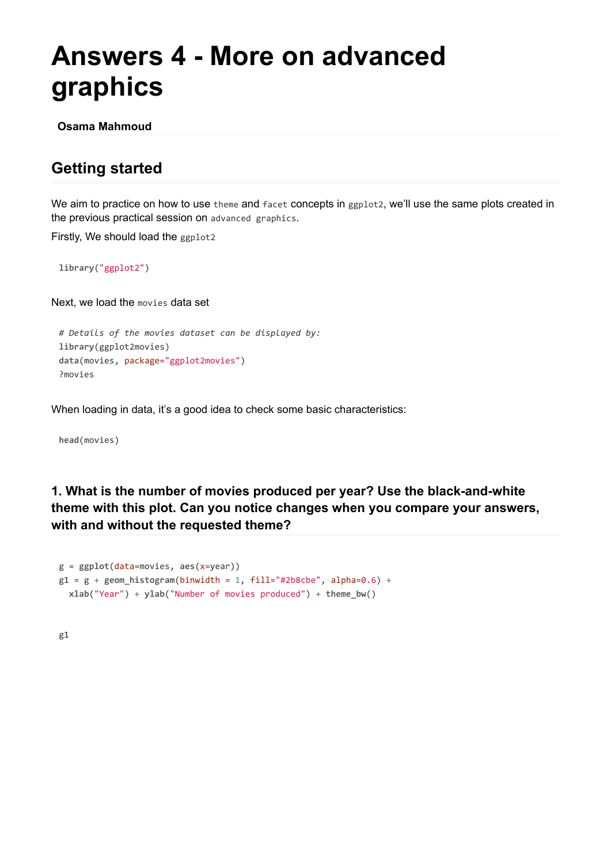## **Answers 4 - More on advanced graphics**

**Osama Mahmoud**

## **Getting started**

We aim to practice on how to use theme and facet concepts in ggplot2, we'll use the same plots created in the previous practical session on advanced graphics.

Firstly, We should load the ggplot2

**library**("ggplot2")

Next, we load the movies data set

```
# Details of the movies dataset can be displayed by:
library(ggplot2movies)
data(movies, package="ggplot2movies")
?movies
```
When loading in data, it's a good idea to check some basic characteristics:

**head**(movies)

**1. What is the number of movies produced per year? Use the black-and-white theme with this plot. Can you notice changes when you compare your answers, with and without the requested theme?**

```
g = ggplot(data=movies, aes(x=year))
g1 = g + geom histogram(binwidth = 1, fill="#2b8cbe", alpha=0.6) +
 xlab("Year") + ylab("Number of movies produced") + theme_bw()
```
g1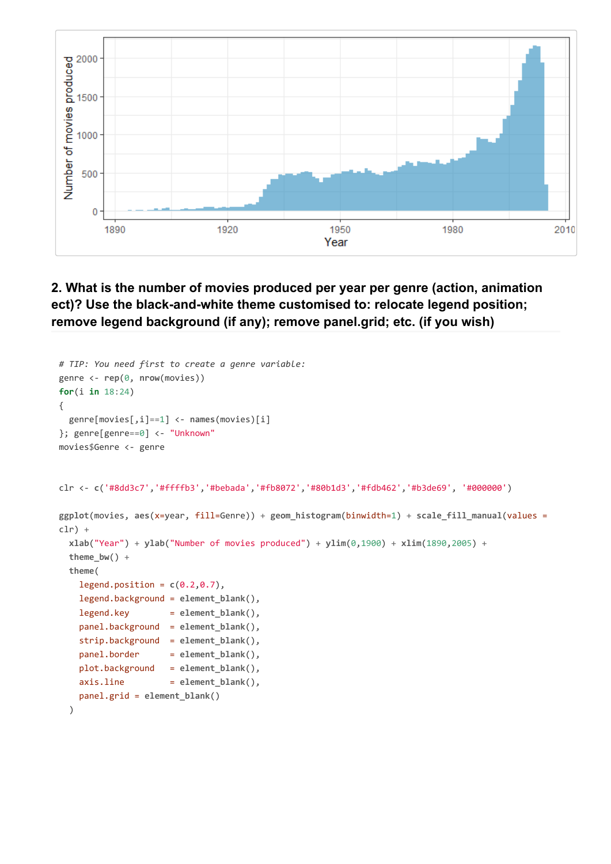

**2. What is the number of movies produced per year per genre (action, animation ect)? Use the black-and-white theme customised to: relocate legend position; remove legend background (if any); remove panel.grid; etc. (if you wish)**

```
# TIP: You need first to create a genre variable:
genre <- rep(0, nrow(movies))
for(i in 18:24)
{
  genre[movies[,i]==1] <- names(movies)[i]
}; genre[genre==0] <- "Unknown"
movies$Genre <- genre
clr <- c('#8dd3c7','#ffffb3','#bebada','#fb8072','#80b1d3','#fdb462','#b3de69', '#000000')
ggplot(movies, aes(x=year, fill=Genre)) + geom_histogram(binwidth=1) + scale_fill_manual(values =
clr) +
  xlab("Year") + ylab("Number of movies produced") + ylim(0,1900) + xlim(1890,2005) +
  theme_bw() +
  theme(
    legend.position = c(0.2, 0.7),
    legend.background = element_blank(),
    legend.key = element_blank(),
   panel.background = element_blank(),
   strip.background = element_blank(),
   panel.border = element blank(),
   plot.background = element_blank(),
   axis.line = element blank(),
   panel.grid = element_blank()
  )
```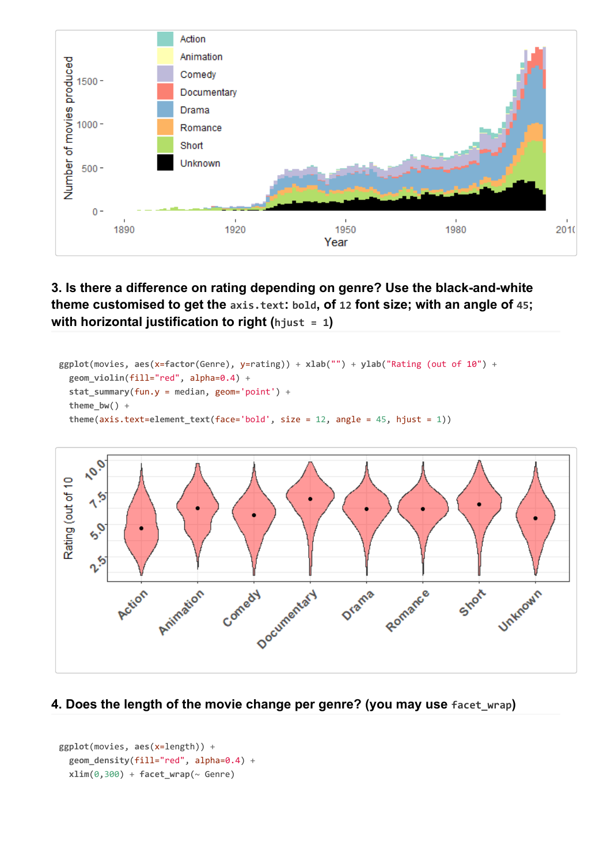

**3. Is there a difference on rating depending on genre? Use the black-and-white theme customised to get the axis.text: bold, of 12 font size; with an angle of 45; with horizontal justification to right (hjust = 1)**

```
ggplot(movies, aes(x=factor(Genre), y=rating)) + xlab("") + ylab("Rating (out of 10") +
  geom_violin(fill="red", alpha=0.4) +
  stat_summary(fun.y = median, geom='point') +
  theme_bw() +
  theme(axis.text=element_text(face='bold', size = 12, angle = 45, hjust = 1))
```


## **4. Does the length of the movie change per genre? (you may use facet\_wrap)**

```
ggplot(movies, aes(x=length)) +
  geom_density(fill="red", alpha=0.4) +
  xlim(0,300) + face{t_w}{\text{range}}(\sim \text{Genre})
```